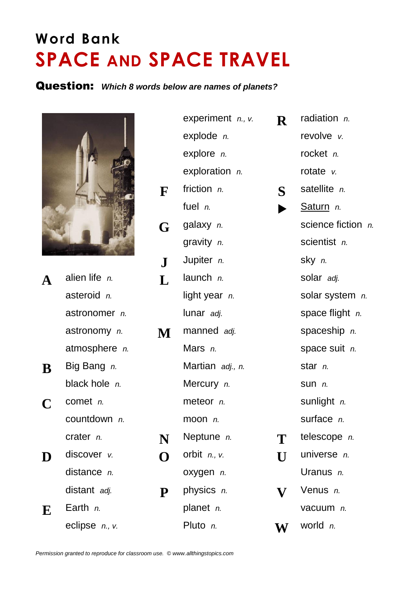## **Word Bank SPACE AND SPACE TRAVEL**

## Question: *Which 8 words below are names of planets?*



- astronomer *n.* astronomy *n.* **N** atmosphere *n.* **Big Bang** *n.* black hole *n.* countdown *n.*
- **D** discover *v.*  $\qquad \qquad \bullet$ distance *n.* distant adj. **Physics Physics**
- 

|          |                      |               | experiment $n.$ , $v.$ | $\mathbf R$ | radiation $n$ .    |
|----------|----------------------|---------------|------------------------|-------------|--------------------|
|          |                      | explode $n$ . |                        | revolve v.  |                    |
|          |                      |               | explore $n$ .          |             | rocket n.          |
|          |                      |               | exploration <i>n.</i>  |             | rotate $v$ .       |
|          | F                    |               | friction $n$ .         | $\bf S$     | satellite n.       |
|          |                      |               | fuel $n$ .             |             | Saturn n.          |
|          |                      | G             | galaxy $n$ .           |             | science fiction n. |
|          |                      |               | gravity n.             |             | scientist n.       |
|          |                      | ${\bf J}$     | Jupiter n.             |             | sky n.             |
| A        | alien life n.        | L             | launch $n$ .           |             | solar adj.         |
|          | asteroid n.          |               | light year <i>n.</i>   |             | solar system n.    |
|          | astronomer n.        |               | lunar adj.             |             | space flight $n$ . |
|          | astronomy n.         | M             | manned adj.            |             | spaceship n.       |
|          | atmosphere <i>n.</i> |               | Mars n.                |             | space suit n.      |
| $\bf{B}$ | Big Bang n.          |               | Martian adj., n.       |             | star n.            |
|          | black hole n.        |               | Mercury n.             |             | Sum n.             |
| C        | comet $n$ .          |               | meteor n.              |             | sunlight n.        |
|          | countdown $n$ .      |               | moon $n$ .             |             | surface n.         |
|          | crater $n$ .         | N             | Neptune n.             | T           | telescope n.       |
| D        | $discover$ $v.$      | O             | orbit $n.$ , v.        | $\mathbf U$ | universe n.        |
|          | distance <i>n.</i>   |               | oxygen n.              |             | Uranus n.          |
|          | distant adj.         | P             | physics n.             | $\mathbf V$ | Venus n.           |
| E        | Earth $n$ .          |               | planet n.              |             | vacuum n.          |
|          | eclipse n., v.       |               | Pluto n.               | W           | world $n$ .        |